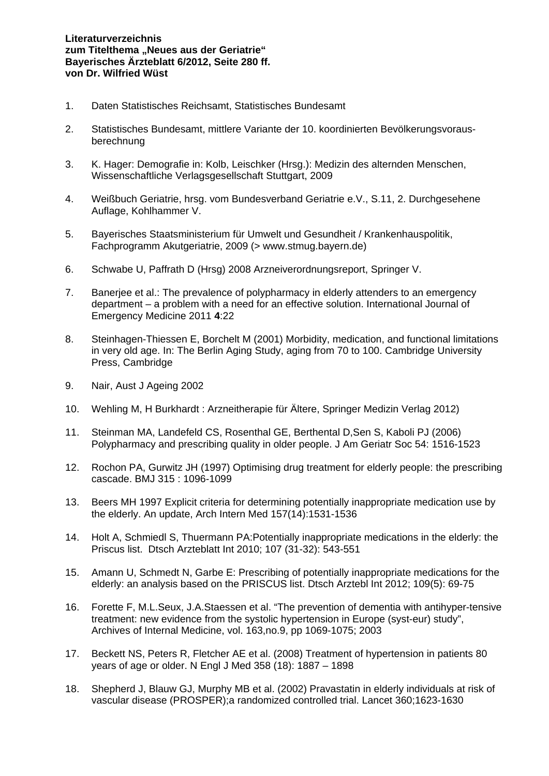- 1. Daten Statistisches Reichsamt, Statistisches Bundesamt
- 2. Statistisches Bundesamt, mittlere Variante der 10. koordinierten Bevölkerungsvorausberechnung
- 3. K. Hager: Demografie in: Kolb, Leischker (Hrsg.): Medizin des alternden Menschen, Wissenschaftliche Verlagsgesellschaft Stuttgart, 2009
- 4. Weißbuch Geriatrie, hrsg. vom Bundesverband Geriatrie e.V., S.11, 2. Durchgesehene Auflage, Kohlhammer V.
- 5. Bayerisches Staatsministerium für Umwelt und Gesundheit / Krankenhauspolitik, Fachprogramm Akutgeriatrie, 2009 (> www.stmug.bayern.de)
- 6. Schwabe U, Paffrath D (Hrsg) 2008 Arzneiverordnungsreport, Springer V.
- 7. Banerjee et al.: The prevalence of polypharmacy in elderly attenders to an emergency department – a problem with a need for an effective solution. International Journal of Emergency Medicine 2011 **4**:22
- 8. Steinhagen-Thiessen E, Borchelt M (2001) Morbidity, medication, and functional limitations in very old age. In: The Berlin Aging Study, aging from 70 to 100. Cambridge University Press, Cambridge
- 9. Nair, Aust J Ageing 2002
- 10. Wehling M, H Burkhardt : Arzneitherapie für Ältere, Springer Medizin Verlag 2012)
- 11. Steinman MA, Landefeld CS, Rosenthal GE, Berthental D,Sen S, Kaboli PJ (2006) Polypharmacy and prescribing quality in older people. J Am Geriatr Soc 54: 1516-1523
- 12. Rochon PA, Gurwitz JH (1997) Optimising drug treatment for elderly people: the prescribing cascade. BMJ 315 : 1096-1099
- 13. Beers MH 1997 Explicit criteria for determining potentially inappropriate medication use by the elderly. An update, Arch Intern Med 157(14):1531-1536
- 14. Holt A, Schmiedl S, Thuermann PA:Potentially inappropriate medications in the elderly: the Priscus list. Dtsch Arzteblatt Int 2010; 107 (31-32): 543-551
- 15. Amann U, Schmedt N, Garbe E: Prescribing of potentially inappropriate medications for the elderly: an analysis based on the PRISCUS list. Dtsch Arztebl Int 2012; 109(5): 69-75
- 16. Forette F, M.L.Seux, J.A.Staessen et al. "The prevention of dementia with antihyper-tensive treatment: new evidence from the systolic hypertension in Europe (syst-eur) study", Archives of Internal Medicine, vol. 163,no.9, pp 1069-1075; 2003
- 17. Beckett NS, Peters R, Fletcher AE et al. (2008) Treatment of hypertension in patients 80 years of age or older. N Engl J Med 358 (18): 1887 – 1898
- 18. Shepherd J, Blauw GJ, Murphy MB et al. (2002) Pravastatin in elderly individuals at risk of vascular disease (PROSPER);a randomized controlled trial. Lancet 360;1623-1630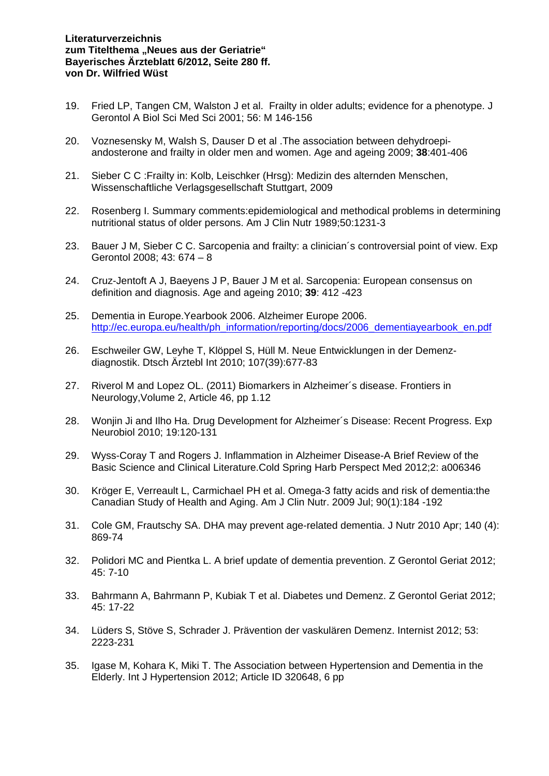## **Literaturverzeichnis**  zum Titelthema "Neues aus der Geriatrie" **Bayerisches Ärzteblatt 6/2012, Seite 280 ff. von Dr. Wilfried Wüst**

- 19. Fried LP, Tangen CM, Walston J et al. Frailty in older adults; evidence for a phenotype. J Gerontol A Biol Sci Med Sci 2001; 56: M 146-156
- 20. Voznesensky M, Walsh S, Dauser D et al .The association between dehydroepiandosterone and frailty in older men and women. Age and ageing 2009; **38**:401-406
- 21. Sieber C C :Frailty in: Kolb, Leischker (Hrsg): Medizin des alternden Menschen, Wissenschaftliche Verlagsgesellschaft Stuttgart, 2009
- 22. Rosenberg I. Summary comments:epidemiological and methodical problems in determining nutritional status of older persons. Am J Clin Nutr 1989;50:1231-3
- 23. Bauer J M, Sieber C C. Sarcopenia and frailty: a clinician´s controversial point of view. Exp Gerontol 2008; 43: 674 – 8
- 24. Cruz-Jentoft A J, Baeyens J P, Bauer J M et al. Sarcopenia: European consensus on definition and diagnosis. Age and ageing 2010; **39**: 412 -423
- 25. Dementia in Europe.Yearbook 2006. Alzheimer Europe 2006. http://ec.europa.eu/health/ph\_information/reporting/docs/2006\_dementiayearbook\_en.pdf
- 26. Eschweiler GW, Leyhe T, Klöppel S, Hüll M. Neue Entwicklungen in der Demenzdiagnostik. Dtsch Ärztebl Int 2010; 107(39):677-83
- 27. Riverol M and Lopez OL. (2011) Biomarkers in Alzheimer´s disease. Frontiers in Neurology,Volume 2, Article 46, pp 1.12
- 28. Wonjin Ji and Ilho Ha. Drug Development for Alzheimer´s Disease: Recent Progress. Exp Neurobiol 2010; 19:120-131
- 29. Wyss-Coray T and Rogers J. Inflammation in Alzheimer Disease-A Brief Review of the Basic Science and Clinical Literature.Cold Spring Harb Perspect Med 2012;2: a006346
- 30. Kröger E, Verreault L, Carmichael PH et al. Omega-3 fatty acids and risk of dementia:the Canadian Study of Health and Aging. Am J Clin Nutr. 2009 Jul; 90(1):184 -192
- 31. Cole GM, Frautschy SA. DHA may prevent age-related dementia. J Nutr 2010 Apr; 140 (4): 869-74
- 32. Polidori MC and Pientka L. A brief update of dementia prevention. Z Gerontol Geriat 2012; 45: 7-10
- 33. Bahrmann A, Bahrmann P, Kubiak T et al. Diabetes und Demenz. Z Gerontol Geriat 2012; 45: 17-22
- 34. Lüders S, Stöve S, Schrader J. Prävention der vaskulären Demenz. Internist 2012; 53: 2223-231
- 35. Igase M, Kohara K, Miki T. The Association between Hypertension and Dementia in the Elderly. Int J Hypertension 2012; Article ID 320648, 6 pp